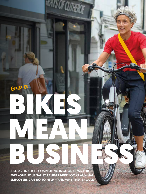*Feature*

A SURGE IN CYCLE COMMUTING IS GOOD NEWS FOR EVERYONE. JOURNALIST LAURA LAKER LOOKS AT WHAT EMPLOYERS CAN DO TO HELP – AND WHY THEY SHOULD BUSINESS

BIKES

**MISOF CUTHERN** 

MEAN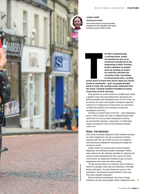

## LAURA LAKER

*Cycling journalist*

Laura writes about cycling and urban transport for The Guardian. She enjoys touring as well as utility cycling

levels grew to me<br>levels grew to me<br>levels at weeken<br>back to work, the

**he UK is experiencing a cycling boom, under circumstances few of us could have predicted at the beginning of 2020. Cycling levels exploded as people took up cycling en masse for exercise and then for everyday trips. According to Government data, cycling** 

**levels grew to more than three times pre-Covid levels at weekends – and, as people headed back to work, the cycling surge continued into the week. Cycling numbers doubled on many week days in June and July.**

This growth in active travel is a bright spot amid a global crisis that has killed three quarters of a million people and wreaked havoc on our lives. As we return to work, with public transport capacity reduced, it's important to limit short car journeys to fend off gridlock and maintain access for emergency services.

Cycling is a great way to do this – and employers have a role to play, not only in helping more staff cycle but in *keeping* those employees cycling as normal life resumes. Long-term, it could help reduce transport's role in the looming climate crisis, too.

## PEDAL: THE MESSAGE

The Cycle-Friendly Employer (CFE) scheme focuses on what employers can do to promote cycling among staff. Set up in 2017, its aim is to support and showcase employers doing great things for cycling to work.

James Palser is Cycling UK's Cycle-Friendly Employer accreditation project manager. Palser says interest in the scheme doubled or tripled over normal levels following the first wave of Covid restrictions, as employers looked to get as many employees back into the office safely.

Example the ball of the state of people; that they are healthier, will take<br>fewer sick days," he said. However, prior to the<br>pandemic "businesses rarely looked at the way<br>that their people commute."<br>Palser believes busines "It has always been a no-brainer that cycling is better for people; that they are healthier, will take fewer sick days," he said. However, prior to the pandemic "businesses rarely looked at the way that their people commute."

Palser believes businesses can have a huge influence on the way people travel. Employers can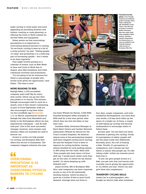make cycling to work easier and more appealing by providing showers and lockers, training or route planning, or offering the Cycle to Work scheme for tax-free bikes and equipment.

Palser points out that overcoming perceptions is as important as overcoming physical barriers to cycling. "As we know, cycling is seen as a bit of a niche activity," he said. "Telling people 'it's okay' and promoting it is a really big part of increasing uptake – but it needs to be done regularly."

That might involve putting on a calendar of events, such as Bike Week in June and Cycle to Work Day in August, plus bike breakfasts and other communal activities and promotions.

"It's not going to be for everyone but there's a percentage of people who would cycle given the opportunity," said Palser. "The time is now."

### MORE REASONS TO RIDE

Raleigh Bikes, a CFE-accredited company, pays staff 10p for every mile cycled, which can go into their pay packet or to charity. This autumn, Raleigh encouraged staff to cycle for a month, even if they weren't commuting, as part of Cycle September. Staff are also encouraged to log their miles via the Love2Ride app (**lovetoride. net**). In March, experienced cyclists at Raleigh led rides from Mansfield and

Derby to the Nottingham offices for less experienced colleagues – and 40 staff took part. One of the most successful changes, however, were women-only showers. Bikes are available for staff to borrow, too.

Access to cycles can help people try cycling, and Brompton Bike Hire offers this service to businesses. The company's biggest initiative this year

**OVERCOMING** PERCEPTIONS IS AS IMPORTANT AS OVERCOMING PHYSICAL BARRIERS TO CYCLING









has been Wheels for Heroes, 3,000 NHSbranded Brompton bikes available to NHS staff for a free loan period, after which they can hire the bikes or buy their own.

Jonathan Kelly, Divisional Manager at Barts Heart Centre and Cardiac Network, administers Wheels for Heroes for the Trust's London hospitals. He believes almost none of the participating hospital staff have stopped cycling since starting. He said the Hospital Trust is keen to improve its cycling facilities, having almost doubled its cycle parking spaces to 260 using two-tier racks. Kelly said: "Even people who have done a 12-hour shift say 'I would much rather cycle than get on the tube, it's better for my mental health'. It's about keeping up with demand now."

Julian Scriven, MD of Brompton Bike Hire, said companies can have corporate access to one of its 50 nationwide docking stations, which he plans to grow by a further 19 due to post-Covid demand. Average hires are three to

four days. Larger companies, and even residential developments, can have their own docks; a 32-bay dock takes up the space of a single car. At Sony, a couple of staff taking up cycling will become ambassadors to encourage others to follow them.

Scriven said: "For me there are three obstacles to getting into cycling. Firstly, it's perceptions of safety: people will see the same roads very differently. Secondly, price, the cost of buying a bike. Thirdly, it's perceptions of competence, and I always say that there's a reason why people say 'It's like riding a bike': within ten minutes you're back into it.

"If you can give people access to a bike, you get over that cost barrier and, crucially, you're giving the opportunity to 'try before you buy', which can also give them that competence."

### TRANSPORT CYCLING SKILLS

Lesley Lau is a photographer, who bought an electric bike after lockdown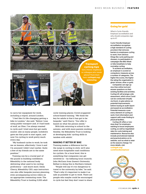

**Transport cycling tips** Got a friend, neighbour

or colleague who needs advice? Point them here: **cyclinguk.org/ commuting**



to carry her equipment for work, including a tripod, around London.

"I feel like it's life-changing getting a bike in London," she said. "Before I was using public transport and, if I had loads of stuff, an Uber. I've always wanted to cycle and I tried once but got really scared. Like so many people, lockdown gave me that push to start again, and now I'm cycling to work pretty much every day.

"My husband cycles to work; he took me on lessons, effectively. I love it and I'm annoyed I didn't start earlier. Quite a few of my friends are in the same position."

Training can be a crucial part of the puzzle in building confidence. Bikeability is the national body delivering what used to be cycling proficiency – and much more. Emily Cherry, Bikeability CEO, says instructors can also offer bespoke journey planning, even accompanying novice riders on an appropriate commuting route. The Bikeability Trust is funding 3,000 adult

cycle training places; Covid scuppered school-based training. "We think the key for adults is that it has got to be bespoke," said Cherry. "Our offer is based on what the person needs."

With kids returning to school in the autumn, and with more parents working flexibly, the Bikeability Trust is looking at developing kids' cycling skills in tandem with adults'.

### MAKING IT BETTER BY BIKE

Training makes a difference but for the surge in cycling to stick, we'll also need more hospitable road conditions for cyclists. On a local level, this is something that companies can get involved in – by lobbying local councils. John McCann from Queen's University Belfast is doing this in Northern Ireland.

"People will say it's too dangerous to travel to the university by bike," he said. "That's why it's important to make it as safe as possible to get to work. There are people who maybe could be encouraged to cycle but feel they don't want to share

# Going for gold

What is Cycle-Friendly Employer accreditation and why should companies sign up to it?

Cycle-Friendly Employer accreditation recognises a high standard of cycling provision that removes barriers to employees cycling to work, from obvious things like cycle parking and showers, to participation in campaigns like Bike Week or bike breakfasts to help normalise cycling.

To achieve accreditation, an employer is scored on compulsory measures across a number of categories. The higher the scores, the higher the rating the organisation is given: bronze, silver or gold.

Companies can sign up via a free online tool and answer questions on their existing facilities and activities. Cycling UK will arrange a site assessment, which since Covid can be conducted virtually via Zoom, to give advice on potential improvements, before issuing an audit report and award an accreditation. Potential measures cover every element of cycling to work, from information and support with route-finding to physical facilities.

Cycling UK offers a 'onestop shop' for employers wanting to boost employees cycling, as well as negotiated rates for cycle training and maintenance. Resources also include promotional material and practical advice on its website, such as what to wear as the seasons change. For more details, visit: **cyclinguk.org/ cyclefriendlyemployer**